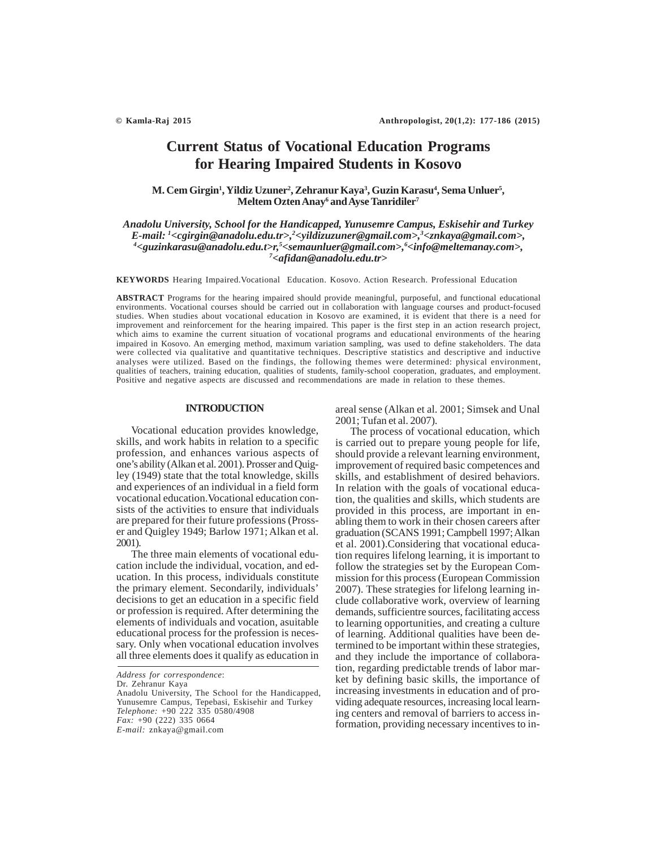# **Current Status of Vocational Education Programs for Hearing Impaired Students in Kosovo**

 $M$ . Cem Girgin<sup>1</sup>, Yildiz Uzuner<sup>2</sup>, Zehranur Kaya<sup>3</sup>, Guzin Karasu<sup>4</sup>, Sema Unluer<sup>5</sup>, **Meltem Ozten Anay6 and Ayse Tanridiler7**

*Anadolu University, School for the Handicapped, Yunusemre Campus, Eskisehir and Turkey E-mail: 1 <cgirgin@anadolu.edu.tr>,2 <yildizuzuner@gmail.com>,3 <znkaya@gmail.com>, 4 <guzinkarasu@anadolu.edu.t>r,5 <semaunluer@gmail.com>,6 <info@meltemanay.com>, 7 <afidan@anadolu.edu.tr>*

**KEYWORDS** Hearing Impaired.Vocational Education. Kosovo. Action Research. Professional Education

**ABSTRACT** Programs for the hearing impaired should provide meaningful, purposeful, and functional educational environments. Vocational courses should be carried out in collaboration with language courses and product-focused studies. When studies about vocational education in Kosovo are examined, it is evident that there is a need for improvement and reinforcement for the hearing impaired. This paper is the first step in an action research project, which aims to examine the current situation of vocational programs and educational environments of the hearing impaired in Kosovo. An emerging method, maximum variation sampling, was used to define stakeholders. The data were collected via qualitative and quantitative techniques. Descriptive statistics and descriptive and inductive analyses were utilized. Based on the findings, the following themes were determined: physical environment, qualities of teachers, training education, qualities of students, family-school cooperation, graduates, and employment. Positive and negative aspects are discussed and recommendations are made in relation to these themes.

### **INTRODUCTION**

Vocational education provides knowledge, skills, and work habits in relation to a specific profession, and enhances various aspects of one's ability (Alkan et al. 2001). Prosser and Quigley (1949) state that the total knowledge, skills and experiences of an individual in a field form vocational education.Vocational education consists of the activities to ensure that individuals are prepared for their future professions (Prosser and Quigley 1949; Barlow 1971; Alkan et al. 2001).

The three main elements of vocational education include the individual, vocation, and education. In this process, individuals constitute the primary element. Secondarily, individuals' decisions to get an education in a specific field or profession is required. After determining the elements of individuals and vocation, asuitable educational process for the profession is necessary. Only when vocational education involves all three elements does it qualify as education in

Dr. Zehranur Kaya

areal sense (Alkan et al. 2001; Simsek and Unal 2001; Tufan et al. 2007).

The process of vocational education, which is carried out to prepare young people for life, should provide a relevant learning environment, improvement of required basic competences and skills, and establishment of desired behaviors. In relation with the goals of vocational education, the qualities and skills, which students are provided in this process, are important in enabling them to work in their chosen careers after graduation (SCANS 1991; Campbell 1997; Alkan et al. 2001).Considering that vocational education requires lifelong learning, it is important to follow the strategies set by the European Commission for this process (European Commission 2007). These strategies for lifelong learning include collaborative work, overview of learning demands, sufficientre sources, facilitating access to learning opportunities, and creating a culture of learning. Additional qualities have been determined to be important within these strategies, and they include the importance of collaboration, regarding predictable trends of labor market by defining basic skills, the importance of increasing investments in education and of providing adequate resources, increasing local learning centers and removal of barriers to access information, providing necessary incentives to in-

*Address for correspondence*:

Anadolu University, The School for the Handicapped, Yunusemre Campus, Tepebasi, Eskisehir and Turkey *Telephone:* +90 222 335 0580/4908 *Fax:* +90 (222) 335 0664 *E-mail:* znkaya@gmail.com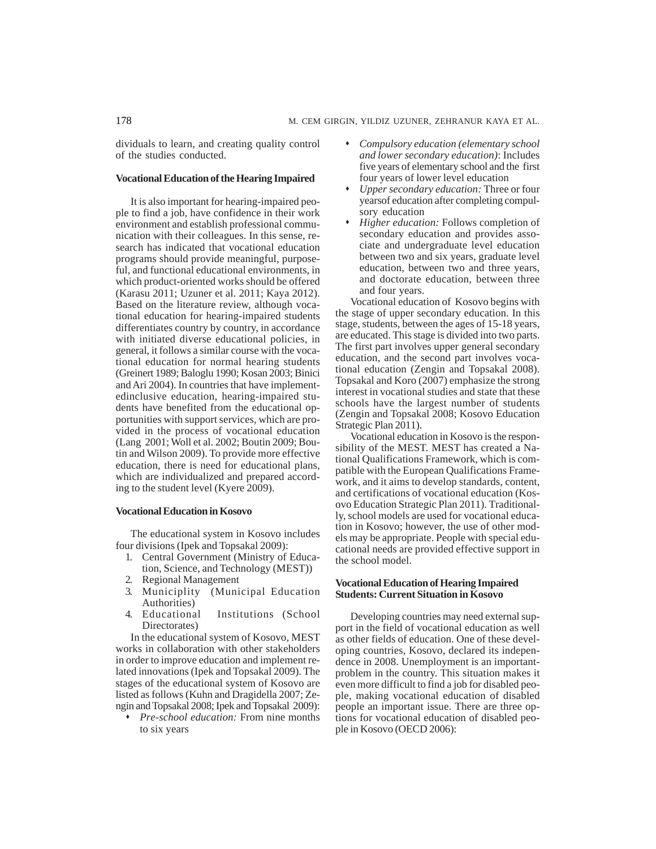dividuals to learn, and creating quality control of the studies conducted.

# **Vocational Education of the Hearing Impaired**

It is also important for hearing-impaired people to find a job, have confidence in their work environment and establish professional communication with their colleagues. In this sense, research has indicated that vocational education programs should provide meaningful, purposeful, and functional educational environments, in which product-oriented works should be offered (Karasu 2011; Uzuner et al. 2011; Kaya 2012). Based on the literature review, although vocational education for hearing-impaired students differentiates country by country, in accordance with initiated diverse educational policies, in general, it follows a similar course with the vocational education for normal hearing students (Greinert 1989; Baloglu 1990; Kosan 2003; Binici and Ari 2004). In countries that have implementedinclusive education, hearing-impaired students have benefited from the educational opportunities with support services, which are provided in the process of vocational education (Lang 2001; Woll et al. 2002; Boutin 2009; Boutin and Wilson 2009). To provide more effective education, there is need for educational plans, which are individualized and prepared according to the student level (Kyere 2009).

# **Vocational Education in Kosovo**

The educational system in Kosovo includes four divisions (Ipek and Topsakal 2009):

- 1. Central Government (Ministry of Education, Science, and Technology (MEST))
- 2. Regional Management
- 3. Municiplity (Municipal Education Authorities)
- 4. Educational Institutions (School Directorates)

In the educational system of Kosovo, MEST works in collaboration with other stakeholders in order to improve education and implement related innovations (Ipek and Topsakal 2009). The stages of the educational system of Kosovo are listed as follows (Kuhn and Dragidella 2007; Zengin and Topsakal 2008; Ipek and Topsakal 2009):

 *Pre-school education:* From nine months to six years

- *Compulsory education (elementary school and lower secondary education)*: Includes five years of elementary school and the first four years of lower level education
- *Upper secondary education:* Three or four yearsof education after completing compulsory education
- *Higher education:* Follows completion of secondary education and provides associate and undergraduate level education between two and six years, graduate level education, between two and three years, and doctorate education, between three and four years.

Vocational education of Kosovo begins with the stage of upper secondary education. In this stage, students, between the ages of 15-18 years, are educated. This stage is divided into two parts. The first part involves upper general secondary education, and the second part involves vocational education (Zengin and Topsakal 2008). Topsakal and Koro (2007) emphasize the strong interest in vocational studies and state that these schools have the largest number of students (Zengin and Topsakal 2008; Kosovo Education Strategic Plan 2011).

Vocational education in Kosovo is the responsibility of the MEST. MEST has created a National Qualifications Framework, which is compatible with the European Qualifications Framework, and it aims to develop standards, content, and certifications of vocational education (Kosovo Education Strategic Plan 2011). Traditionally, school models are used for vocational education in Kosovo; however, the use of other models may be appropriate. People with special educational needs are provided effective support in the school model.

# **Vocational Education of Hearing Impaired Students: Current Situation in Kosovo**

Developing countries may need external support in the field of vocational education as well as other fields of education. One of these developing countries, Kosovo, declared its independence in 2008. Unemployment is an importantproblem in the country. This situation makes it even more difficult to find a job for disabled people, making vocational education of disabled people an important issue. There are three options for vocational education of disabled people in Kosovo (OECD 2006):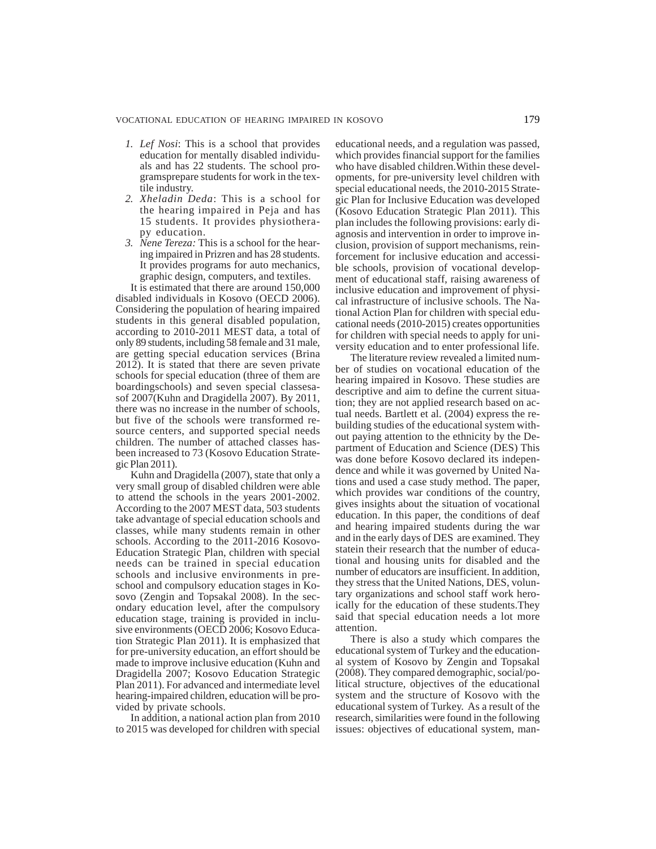- *1. Lef Nosi*: This is a school that provides education for mentally disabled individuals and has 22 students. The school programsprepare students for work in the textile industry.
- *2. Xheladin Deda*: This is a school for the hearing impaired in Peja and has 15 students. It provides physiotherapy education.
- *3. Nene Tereza:* This is a school for the hearing impaired in Prizren and has 28 students. It provides programs for auto mechanics, graphic design, computers, and textiles.

It is estimated that there are around 150,000 disabled individuals in Kosovo (OECD 2006). Considering the population of hearing impaired students in this general disabled population, according to 2010-2011 MEST data, a total of only 89 students, including 58 female and 31 male, are getting special education services (Brina 2012). It is stated that there are seven private schools for special education (three of them are boardingschools) and seven special classesasof 2007(Kuhn and Dragidella 2007). By 2011, there was no increase in the number of schools, but five of the schools were transformed resource centers, and supported special needs children. The number of attached classes hasbeen increased to 73 (Kosovo Education Strategic Plan 2011).

Kuhn and Dragidella (2007), state that only a very small group of disabled children were able to attend the schools in the years 2001-2002. According to the 2007 MEST data, 503 students take advantage of special education schools and classes, while many students remain in other schools. According to the 2011-2016 Kosovo-Education Strategic Plan, children with special needs can be trained in special education schools and inclusive environments in preschool and compulsory education stages in Kosovo (Zengin and Topsakal 2008). In the secondary education level, after the compulsory education stage, training is provided in inclusive environments (OECD 2006; Kosovo Education Strategic Plan 2011). It is emphasized that for pre-university education, an effort should be made to improve inclusive education (Kuhn and Dragidella 2007; Kosovo Education Strategic Plan 2011). For advanced and intermediate level hearing-impaired children, education will be provided by private schools.

In addition, a national action plan from 2010 to 2015 was developed for children with special educational needs, and a regulation was passed, which provides financial support for the families who have disabled children.Within these developments, for pre-university level children with special educational needs, the 2010-2015 Strategic Plan for Inclusive Education was developed (Kosovo Education Strategic Plan 2011). This plan includes the following provisions: early diagnosis and intervention in order to improve inclusion, provision of support mechanisms, reinforcement for inclusive education and accessible schools, provision of vocational development of educational staff, raising awareness of inclusive education and improvement of physical infrastructure of inclusive schools. The National Action Plan for children with special educational needs (2010-2015) creates opportunities for children with special needs to apply for university education and to enter professional life.

The literature review revealed a limited number of studies on vocational education of the hearing impaired in Kosovo. These studies are descriptive and aim to define the current situation; they are not applied research based on actual needs. Bartlett et al. (2004) express the rebuilding studies of the educational system without paying attention to the ethnicity by the Department of Education and Science (DES) This was done before Kosovo declared its independence and while it was governed by United Nations and used a case study method. The paper, which provides war conditions of the country, gives insights about the situation of vocational education. In this paper, the conditions of deaf and hearing impaired students during the war and in the early days of DES are examined. They statein their research that the number of educational and housing units for disabled and the number of educators are insufficient. In addition, they stress that the United Nations, DES, voluntary organizations and school staff work heroically for the education of these students.They said that special education needs a lot more attention.

There is also a study which compares the educational system of Turkey and the educational system of Kosovo by Zengin and Topsakal (2008). They compared demographic, social/political structure, objectives of the educational system and the structure of Kosovo with the educational system of Turkey. As a result of the research, similarities were found in the following issues: objectives of educational system, man-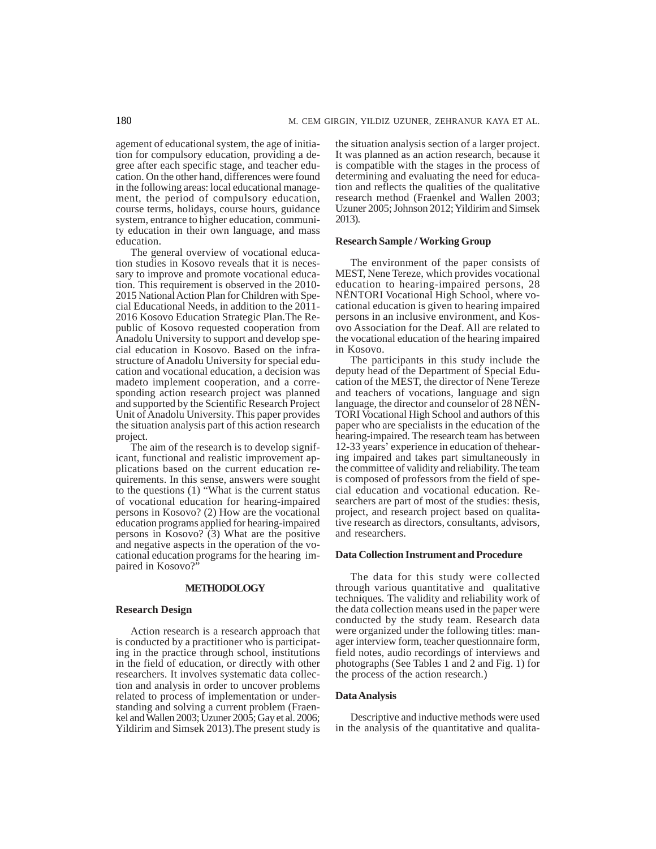agement of educational system, the age of initiation for compulsory education, providing a degree after each specific stage, and teacher education. On the other hand, differences were found in the following areas: local educational management, the period of compulsory education, course terms, holidays, course hours, guidance system, entrance to higher education, community education in their own language, and mass education.

The general overview of vocational education studies in Kosovo reveals that it is necessary to improve and promote vocational education. This requirement is observed in the 2010- 2015 National Action Plan for Children with Special Educational Needs, in addition to the 2011- 2016 Kosovo Education Strategic Plan.The Republic of Kosovo requested cooperation from Anadolu University to support and develop special education in Kosovo. Based on the infrastructure of Anadolu University for special education and vocational education, a decision was madeto implement cooperation, and a corresponding action research project was planned and supported by the Scientific Research Project Unit of Anadolu University. This paper provides the situation analysis part of this action research project.

The aim of the research is to develop significant, functional and realistic improvement applications based on the current education requirements. In this sense, answers were sought to the questions (1) "What is the current status of vocational education for hearing-impaired persons in Kosovo? (2) How are the vocational education programs applied for hearing-impaired persons in Kosovo? (3) What are the positive and negative aspects in the operation of the vocational education programs for the hearing impaired in Kosovo?"

### **METHODOLOGY**

#### **Research Design**

Action research is a research approach that is conducted by a practitioner who is participating in the practice through school, institutions in the field of education, or directly with other researchers. It involves systematic data collection and analysis in order to uncover problems related to process of implementation or understanding and solving a current problem (Fraenkel and Wallen 2003; Uzuner 2005; Gay et al. 2006; Yildirim and Simsek 2013).The present study is the situation analysis section of a larger project. It was planned as an action research, because it is compatible with the stages in the process of determining and evaluating the need for education and reflects the qualities of the qualitative research method (Fraenkel and Wallen 2003; Uzuner 2005; Johnson 2012; Yildirim and Simsek 2013).

# **Research Sample / Working Group**

The environment of the paper consists of MEST, Nene Tereze, which provides vocational education to hearing-impaired persons, 28 NËNTORI Vocational High School, where vocational education is given to hearing impaired persons in an inclusive environment, and Kosovo Association for the Deaf. All are related to the vocational education of the hearing impaired in Kosovo.

The participants in this study include the deputy head of the Department of Special Education of the MEST, the director of Nene Tereze and teachers of vocations, language and sign language, the director and counselor of 28 NËN-TORI Vocational High School and authors of this paper who are specialists in the education of the hearing-impaired. The research team has between 12-33 years' experience in education of thehearing impaired and takes part simultaneously in the committee of validity and reliability. The team is composed of professors from the field of special education and vocational education. Researchers are part of most of the studies: thesis, project, and research project based on qualitative research as directors, consultants, advisors, and researchers.

#### **Data Collection Instrument and Procedure**

The data for this study were collected through various quantitative and qualitative techniques*.* The validity and reliability work of the data collection means used in the paper were conducted by the study team. Research data were organized under the following titles: manager interview form, teacher questionnaire form, field notes, audio recordings of interviews and photographs (See Tables 1 and 2 and Fig. 1) for the process of the action research.)

# **Data Analysis**

Descriptive and inductive methods were used in the analysis of the quantitative and qualita-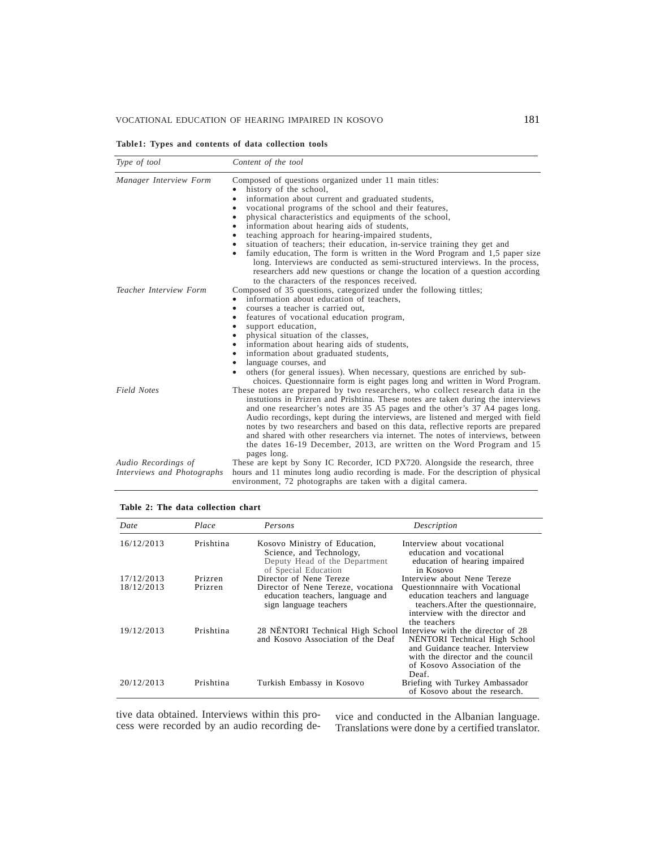# VOCATIONAL EDUCATION OF HEARING IMPAIRED IN KOSOVO 181

**Table1: Types and contents of data collection tools**

| Type of tool                                      | Content of the tool                                                                                                                                                                                                                                                                                                                                                                                                                                                                                                                                                                     |  |
|---------------------------------------------------|-----------------------------------------------------------------------------------------------------------------------------------------------------------------------------------------------------------------------------------------------------------------------------------------------------------------------------------------------------------------------------------------------------------------------------------------------------------------------------------------------------------------------------------------------------------------------------------------|--|
| Manager Interview Form                            | Composed of questions organized under 11 main titles:<br>history of the school,<br>information about current and graduated students,<br>vocational programs of the school and their features,<br>physical characteristics and equipments of the school,<br>information about hearing aids of students,                                                                                                                                                                                                                                                                                  |  |
| <b>Teacher Interview Form</b>                     | teaching approach for hearing-impaired students,<br>situation of teachers; their education, in-service training they get and<br>family education, The form is written in the Word Program and 1,5 paper size<br>$\bullet$<br>long. Interviews are conducted as semi-structured interviews. In the process,<br>researchers add new questions or change the location of a question according<br>to the characters of the responces received.<br>Composed of 35 questions, categorized under the following tittles;                                                                        |  |
|                                                   | information about education of teachers,<br>courses a teacher is carried out,<br>$\bullet$<br>features of vocational education program,<br>support education,<br>physical situation of the classes,<br>information about hearing aids of students,<br>٠                                                                                                                                                                                                                                                                                                                                 |  |
|                                                   | information about graduated students,<br>language courses, and<br>others (for general issues). When necessary, questions are enriched by sub-<br>$\bullet$<br>choices. Questionnaire form is eight pages long and written in Word Program.                                                                                                                                                                                                                                                                                                                                              |  |
| <b>Field Notes</b>                                | These notes are prepared by two researchers, who collect research data in the<br>instutions in Prizren and Prishtina. These notes are taken during the interviews<br>and one researcher's notes are 35 A5 pages and the other's 37 A4 pages long.<br>Audio recordings, kept during the interviews, are listened and merged with field<br>notes by two researchers and based on this data, reflective reports are prepared<br>and shared with other researchers via internet. The notes of interviews, between<br>the dates 16-19 December, 2013, are written on the Word Program and 15 |  |
| Audio Recordings of<br>Interviews and Photographs | pages long.<br>These are kept by Sony IC Recorder, ICD PX720. Alongside the research, three<br>hours and 11 minutes long audio recording is made. For the description of physical<br>environment, 72 photographs are taken with a digital camera.                                                                                                                                                                                                                                                                                                                                       |  |

# **Table 2: The data collection chart**

| Date       | Place     | Persons                                                                                                            | Description                                                                                                                                                      |
|------------|-----------|--------------------------------------------------------------------------------------------------------------------|------------------------------------------------------------------------------------------------------------------------------------------------------------------|
| 16/12/2013 | Prishtina | Kosovo Ministry of Education,<br>Science, and Technology,<br>Deputy Head of the Department<br>of Special Education | Interview about vocational<br>education and vocational<br>education of hearing impaired<br>in Kosovo                                                             |
| 17/12/2013 | Prizren   | Director of Nene Tereze                                                                                            | Interview about Nene Tereze                                                                                                                                      |
| 18/12/2013 | Prizren   | Director of Nene Tereze, vocationa<br>education teachers, language and<br>sign language teachers                   | <b>Ouestionnaire</b> with Vocational<br>education teachers and language<br>teachers. After the questionnaire,<br>interview with the director and<br>the teachers |
| 19/12/2013 | Prishtina | 28 NENTORI Technical High School Interview with the director of 28<br>and Kosovo Association of the Deaf           | NËNTORI Technical High School<br>and Guidance teacher. Interview<br>with the director and the council<br>of Kosovo Association of the<br>Deaf.                   |
| 20/12/2013 | Prishtina | Turkish Embassy in Kosovo                                                                                          | Briefing with Turkey Ambassador<br>of Kosovo about the research.                                                                                                 |

tive data obtained. Interviews within this process were recorded by an audio recording de-

tive data obtained. Interviews within this pro-<br>cess were recorded by an audio recording de-<br>Translations were done by a certified translator.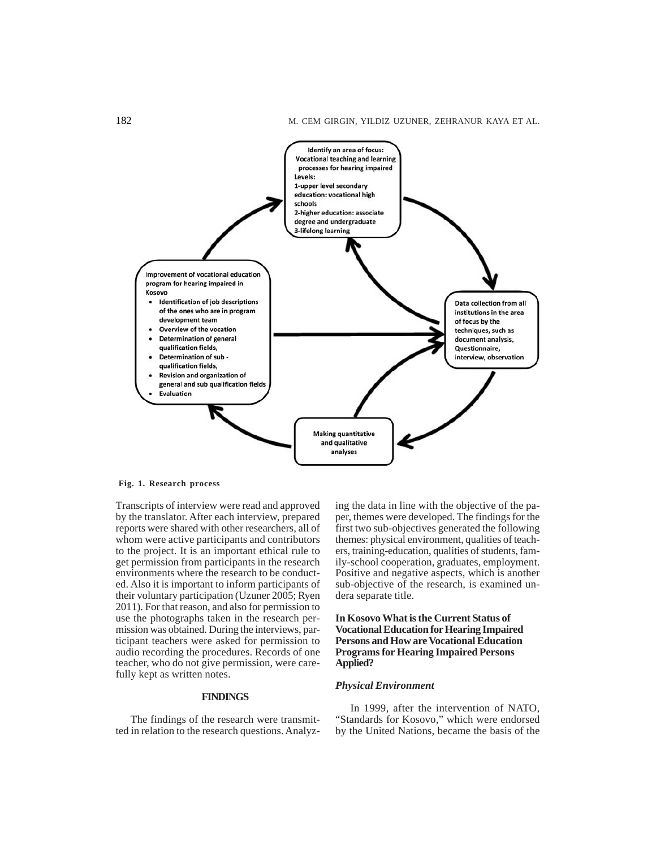

**Fig. 1. Research process**

Transcripts of interview were read and approved by the translator. After each interview, prepared reports were shared with other researchers, all of whom were active participants and contributors to the project. It is an important ethical rule to get permission from participants in the research environments where the research to be conducted. Also it is important to inform participants of their voluntary participation (Uzuner 2005; Ryen 2011). For that reason, and also for permission to use the photographs taken in the research permission was obtained. During the interviews, participant teachers were asked for permission to audio recording the procedures. Records of one teacher, who do not give permission, were carefully kept as written notes.

# **FINDINGS**

The findings of the research were transmitted in relation to the research questions. Analyzing the data in line with the objective of the paper, themes were developed. The findings for the first two sub-objectives generated the following themes: physical environment, qualities of teachers, training-education, qualities of students, family-school cooperation, graduates, employment. Positive and negative aspects, which is another sub-objective of the research, is examined undera separate title.

# **In Kosovo What is the Current Status of Vocational Education for Hearing Impaired Persons and How are Vocational Education Programs for Hearing Impaired Persons Applied?**

# *Physical Environment*

In 1999, after the intervention of NATO, "Standards for Kosovo," which were endorsed by the United Nations, became the basis of the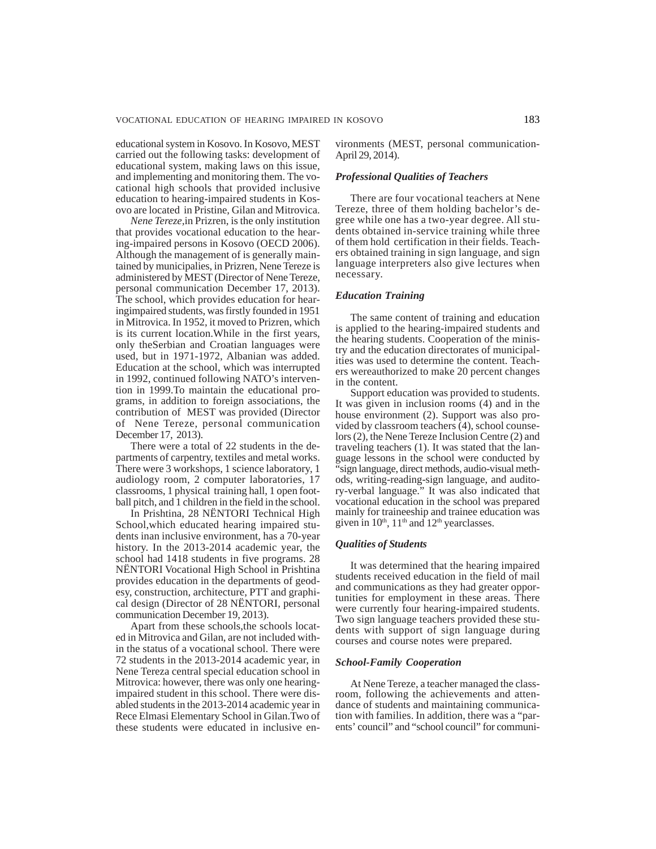educational system in Kosovo. In Kosovo, MEST carried out the following tasks: development of educational system, making laws on this issue, and implementing and monitoring them. The vocational high schools that provided inclusive education to hearing-impaired students in Kosovo are located in Pristine, Gilan and Mitrovica.

*Nene Tereze,*in Prizren, is the only institution that provides vocational education to the hearing-impaired persons in Kosovo (OECD 2006). Although the management of is generally maintained by municipalies, in Prizren, Nene Tereze is administered by MEST (Director of Nene Tereze, personal communication December 17, 2013). The school, which provides education for hearingimpaired students, was firstly founded in 1951 in Mitrovica. In 1952, it moved to Prizren, which is its current location.While in the first years, only theSerbian and Croatian languages were used, but in 1971-1972, Albanian was added. Education at the school, which was interrupted in 1992, continued following NATO's intervention in 1999.To maintain the educational programs, in addition to foreign associations, the contribution of MEST was provided (Director of Nene Tereze, personal communication December 17, 2013).

There were a total of 22 students in the departments of carpentry, textiles and metal works. There were 3 workshops, 1 science laboratory, 1 audiology room, 2 computer laboratories, 17 classrooms, 1 physical training hall, 1 open football pitch, and 1 children in the field in the school.

In Prishtina, 28 NËNTORI Technical High School,which educated hearing impaired students inan inclusive environment, has a 70-year history. In the 2013-2014 academic year, the school had 1418 students in five programs. 28 NËNTORI Vocational High School in Prishtina provides education in the departments of geodesy, construction, architecture, PTT and graphical design (Director of 28 NËNTORI, personal communication December 19, 2013).

Apart from these schools,the schools located in Mitrovica and Gilan, are not included within the status of a vocational school. There were 72 students in the 2013-2014 academic year, in Nene Tereza central special education school in Mitrovica: however, there was only one hearingimpaired student in this school. There were disabled students in the 2013-2014 academic year in Rece Elmasi Elementary School in Gilan.Two of these students were educated in inclusive environments (MEST, personal communication-April 29, 2014).

# *Professional Qualities of Teachers*

There are four vocational teachers at Nene Tereze, three of them holding bachelor's degree while one has a two-year degree. All students obtained in-service training while three of them hold certification in their fields. Teachers obtained training in sign language, and sign language interpreters also give lectures when necessary.

### *Education Training*

The same content of training and education is applied to the hearing-impaired students and the hearing students. Cooperation of the ministry and the education directorates of municipalities was used to determine the content. Teachers wereauthorized to make 20 percent changes in the content.

Support education was provided to students. It was given in inclusion rooms (4) and in the house environment (2). Support was also provided by classroom teachers (4), school counselors (2), the Nene Tereze Inclusion Centre (2) and traveling teachers (1). It was stated that the language lessons in the school were conducted by "sign language, direct methods, audio-visual methods, writing-reading-sign language, and auditory-verbal language." It was also indicated that vocational education in the school was prepared mainly for traineeship and trainee education was given in  $10<sup>th</sup>$ ,  $11<sup>th</sup>$  and  $12<sup>th</sup>$  yearclasses.

### *Qualities of Students*

It was determined that the hearing impaired students received education in the field of mail and communications as they had greater opportunities for employment in these areas. There were currently four hearing-impaired students. Two sign language teachers provided these students with support of sign language during courses and course notes were prepared.

#### *School-Family Cooperation*

At Nene Tereze, a teacher managed the classroom, following the achievements and attendance of students and maintaining communication with families. In addition, there was a "parents' council" and "school council" for communi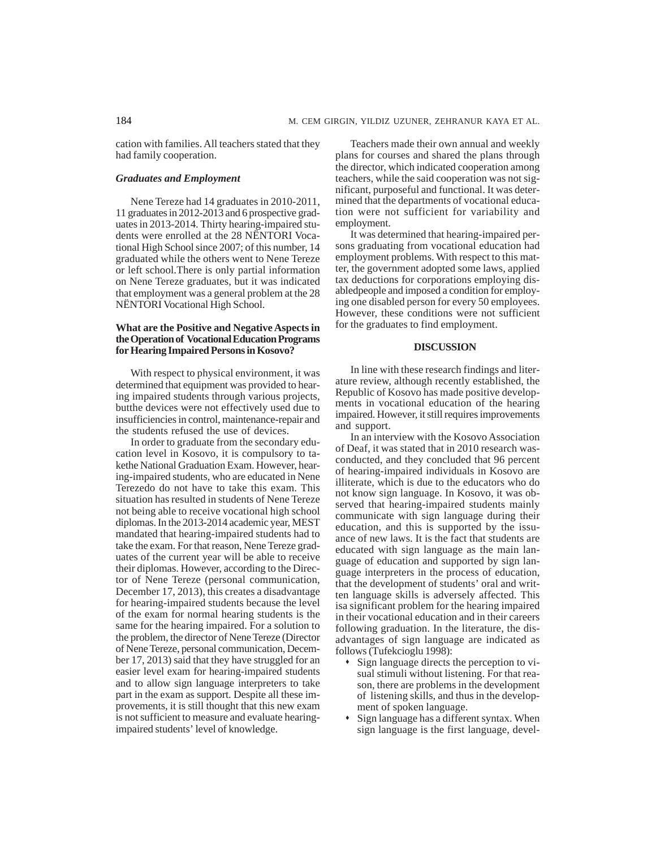cation with families. All teachers stated that they had family cooperation.

# *Graduates and Employment*

Nene Tereze had 14 graduates in 2010-2011, 11 graduates in 2012-2013 and 6 prospective graduates in 2013-2014. Thirty hearing-impaired students were enrolled at the 28 NËNTORI Vocational High School since 2007; of this number, 14 graduated while the others went to Nene Tereze or left school.There is only partial information on Nene Tereze graduates, but it was indicated that employment was a general problem at the 28 NËNTORI Vocational High School.

# **What are the Positive and Negative Aspects in the Operation of Vocational Education Programs for Hearing Impaired Persons in Kosovo?**

With respect to physical environment, it was determined that equipment was provided to hearing impaired students through various projects, butthe devices were not effectively used due to insufficiencies in control, maintenance-repair and the students refused the use of devices.

In order to graduate from the secondary education level in Kosovo, it is compulsory to takethe National Graduation Exam. However, hearing-impaired students, who are educated in Nene Terezedo do not have to take this exam. This situation has resulted in students of Nene Tereze not being able to receive vocational high school diplomas. In the 2013-2014 academic year, MEST mandated that hearing-impaired students had to take the exam. For that reason, Nene Tereze graduates of the current year will be able to receive their diplomas. However, according to the Director of Nene Tereze (personal communication, December 17, 2013), this creates a disadvantage for hearing-impaired students because the level of the exam for normal hearing students is the same for the hearing impaired. For a solution to the problem, the director of Nene Tereze (Director of Nene Tereze, personal communication, December 17, 2013) said that they have struggled for an easier level exam for hearing-impaired students and to allow sign language interpreters to take part in the exam as support. Despite all these improvements, it is still thought that this new exam is not sufficient to measure and evaluate hearingimpaired students' level of knowledge.

Teachers made their own annual and weekly plans for courses and shared the plans through the director, which indicated cooperation among teachers, while the said cooperation was not significant, purposeful and functional. It was determined that the departments of vocational education were not sufficient for variability and employment.

It was determined that hearing-impaired persons graduating from vocational education had employment problems. With respect to this matter, the government adopted some laws, applied tax deductions for corporations employing disabledpeople and imposed a condition for employing one disabled person for every 50 employees. However, these conditions were not sufficient for the graduates to find employment.

### **DISCUSSION**

In line with these research findings and literature review, although recently established, the Republic of Kosovo has made positive developments in vocational education of the hearing impaired. However, it still requires improvements and support.

In an interview with the Kosovo Association of Deaf, it was stated that in 2010 research wasconducted, and they concluded that 96 percent of hearing-impaired individuals in Kosovo are illiterate, which is due to the educators who do not know sign language. In Kosovo, it was observed that hearing-impaired students mainly communicate with sign language during their education, and this is supported by the issuance of new laws. It is the fact that students are educated with sign language as the main language of education and supported by sign language interpreters in the process of education, that the development of students' oral and written language skills is adversely affected. This isa significant problem for the hearing impaired in their vocational education and in their careers following graduation. In the literature, the disadvantages of sign language are indicated as follows (Tufekcioglu 1998):

- Sign language directs the perception to visual stimuli without listening. For that reason, there are problems in the development of listening skills, and thus in the development of spoken language.
- Sign language has a different syntax. When sign language is the first language, devel-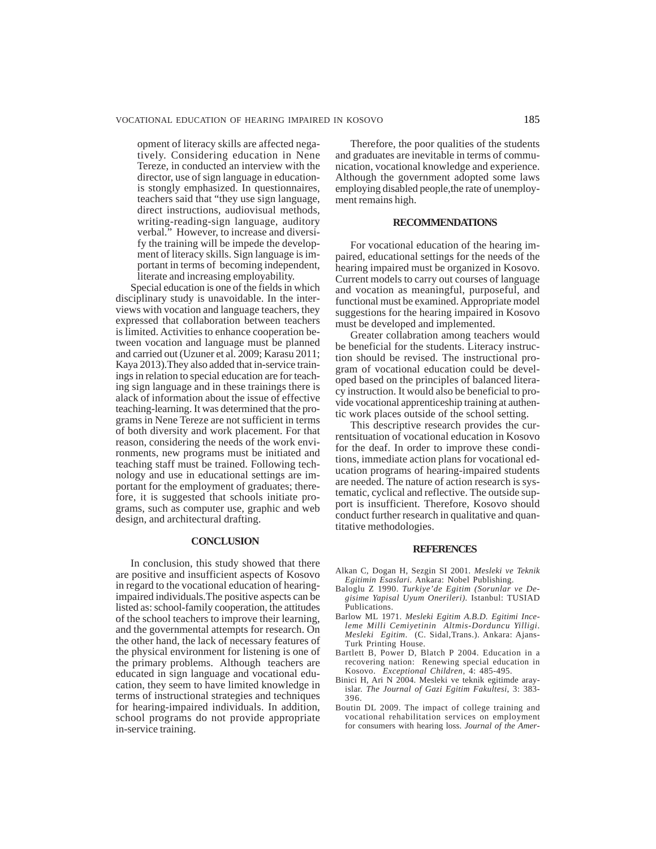opment of literacy skills are affected negatively. Considering education in Nene Tereze, in conducted an interview with the director, use of sign language in educationis stongly emphasized. In questionnaires, teachers said that "they use sign language, direct instructions, audiovisual methods, writing-reading-sign language, auditory verbal." However, to increase and diversify the training will be impede the development of literacy skills. Sign language is important in terms of becoming independent, literate and increasing employability.

Special education is one of the fields in which disciplinary study is unavoidable. In the interviews with vocation and language teachers, they expressed that collaboration between teachers is limited. Activities to enhance cooperation between vocation and language must be planned and carried out (Uzuner et al. 2009; Karasu 2011; Kaya 2013).They also added that in-service trainings in relation to special education are for teaching sign language and in these trainings there is alack of information about the issue of effective teaching-learning. It was determined that the programs in Nene Tereze are not sufficient in terms of both diversity and work placement. For that reason, considering the needs of the work environments, new programs must be initiated and teaching staff must be trained. Following technology and use in educational settings are important for the employment of graduates; therefore, it is suggested that schools initiate programs, such as computer use, graphic and web design, and architectural drafting.

# **CONCLUSION**

In conclusion, this study showed that there are positive and insufficient aspects of Kosovo in regard to the vocational education of hearingimpaired individuals.The positive aspects can be listed as: school-family cooperation, the attitudes of the school teachers to improve their learning, and the governmental attempts for research. On the other hand, the lack of necessary features of the physical environment for listening is one of the primary problems. Although teachers are educated in sign language and vocational education, they seem to have limited knowledge in terms of instructional strategies and techniques for hearing-impaired individuals. In addition, school programs do not provide appropriate in-service training.

Therefore, the poor qualities of the students and graduates are inevitable in terms of communication, vocational knowledge and experience. Although the government adopted some laws employing disabled people,the rate of unemployment remains high.

### **RECOMMENDATIONS**

For vocational education of the hearing impaired, educational settings for the needs of the hearing impaired must be organized in Kosovo. Current models to carry out courses of language and vocation as meaningful, purposeful, and functional must be examined. Appropriate model suggestions for the hearing impaired in Kosovo must be developed and implemented.

Greater collabration among teachers would be beneficial for the students. Literacy instruction should be revised. The instructional program of vocational education could be developed based on the principles of balanced literacy instruction. It would also be beneficial to provide vocational apprenticeship training at authentic work places outside of the school setting.

This descriptive research provides the currentsituation of vocational education in Kosovo for the deaf. In order to improve these conditions, immediate action plans for vocational education programs of hearing-impaired students are needed. The nature of action research is systematic, cyclical and reflective. The outside support is insufficient. Therefore, Kosovo should conduct further research in qualitative and quantitative methodologies.

# **REFERENCES**

- Alkan C, Dogan H, Sezgin SI 2001. *Mesleki ve Teknik Egitimin Esaslari*. Ankara: Nobel Publishing.
- Baloglu Z 1990. *Turkiye'de Egitim (Sorunlar ve Degisime Yapisal Uyum Onerileri).* Istanbul: TUSIAD Publications.
- Barlow ML 1971. *Mesleki Egitim A.B.D. Egitimi Inceleme Milli Cemiyetinin Altmis-Dorduncu Yilligi. Mesleki Egitim*. (C. Sidal,Trans.). Ankara: Ajans-Turk Printing House.
- Bartlett B, Power D, Blatch P 2004. Education in a recovering nation: Renewing special education in Kosovo. *Exceptional Children*, 4: 485-495.
- Binici H, Ari N 2004. Mesleki ve teknik egitimde arayislar. *The Journal of Gazi Egitim Fakultesi*, 3: 383- 396.
- Boutin DL 2009. The impact of college training and vocational rehabilitation services on employment for consumers with hearing loss. *Journal of the Amer-*